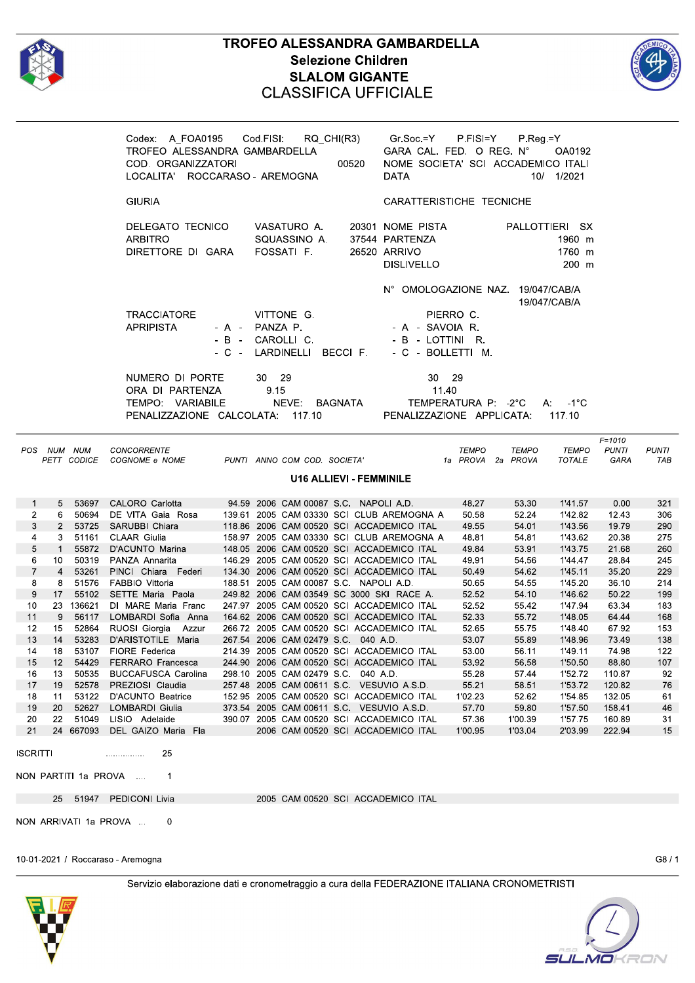

 $\it{POS}$ 

## TROFEO ALESSANDRA GAMBARDELLA **Selezione Children SLALOM GIGANTE CLASSIFICA UFFICIALE**



**PUNTI** 

**TAB** 

|                               | Codex: A_FOA0195 Cod.FISI: RQ_CHI(R3) Gr.Soc.=Y P.FISI=Y P.Reg.=Y<br>TROFEO ALESSANDRA GAMBARDELLA GARA CAL. FED. OREG. N° OA01<br>LOCALITA' ROCCARASO - AREMOGNA                |                                                | DATA                                                                                                                             | OA0192<br>10/ 1/2021                                         |
|-------------------------------|----------------------------------------------------------------------------------------------------------------------------------------------------------------------------------|------------------------------------------------|----------------------------------------------------------------------------------------------------------------------------------|--------------------------------------------------------------|
|                               | <b>GIURIA</b>                                                                                                                                                                    |                                                | CARATTERISTICHE TECNICHE                                                                                                         |                                                              |
|                               | DELEGATO TECNICO VASATURO A. 20301 NOME PISTA PALLOTTIERI SX<br><b>ARBITRO</b><br>DIRETTORE DI GARA FOSSATI F. 26520 ARRIVO                                                      | SQUASSINO A. 37544 PARTENZA                    | <b>DISLIVELLO</b>                                                                                                                | 1960 m<br>1760 m<br>$200$ m                                  |
|                               | VITTONE G.<br><b>TRACCIATORE</b><br><b>APRIPISTA</b><br>- B - CAROLLIC.                                                                                                          | - A - PANZA P.                 - A - SAVOIA R. | N° OMOLOGAZIONE NAZ. 19/047/CAB/A<br><b>EXAMPLE PIERRO C.</b><br>- B - LOTTINI R.<br>- C - LARDINELLI BECCI F. - C - BOLLETTI M. | 19/047/CAB/A                                                 |
|                               | NUMERO DI PORTE 30 29<br>ORA DI PARTENZA 9.15<br>TEMPO: VARIABILE MEVE: BAGNATA TEMPERATURA P: -2°C A: -1°C<br>PENALIZZAZIONE CALCOLATA: 117.10 PENALIZZAZIONE APPLICATA: 117.10 |                                                | 30 29<br>11.40                                                                                                                   |                                                              |
| <b>NUM NUM</b><br>PETT CODICE | <b>CONCORRENTE</b><br>COGNOME e NOME                                                                                                                                             | PUNTI ANNO COM COD. SOCIETA'                   | <b>TEMPO</b><br><b>TEMPO</b><br>1a PROVA 2a PROVA                                                                                | $F = 1010$<br><b>TEMPO</b><br><b>PUNTI</b><br>TOTALE<br>GARA |

## **U16 ALLIEVI - FEMMINILE**

|                | 5              | 53697  | CALORO Carlotta            |        |                            | 94.59 2006 CAM 00087 S.C. NAPOLIAD.       | 48.27   | 53.30   | 1'41.57 | 0.00   | 321 |
|----------------|----------------|--------|----------------------------|--------|----------------------------|-------------------------------------------|---------|---------|---------|--------|-----|
| $\overline{2}$ | 6              | 50694  | DE VITA Gaia<br>Rosa       | 139.61 | 2005 CAM 03330 SCI         | CLUB AREMOGNA A                           | 50.58   | 52.24   | 1'42.82 | 12.43  | 306 |
| 3              |                | 53725  | SARUBBI Chiara             |        |                            | 118.86 2006 CAM 00520 SCI ACCADEMICO ITAL | 49.55   | 54.01   | 1'43.56 | 19.79  | 290 |
| 4              | 3              | 51161  | <b>CLAAR Giulia</b>        |        |                            | 158.97 2005 CAM 03330 SCI CLUB AREMOGNA A | 48.81   | 54.81   | 1'43.62 | 20.38  | 275 |
| 5              |                | 55872  | D'ACUNTO Marina            |        |                            | 148.05 2006 CAM 00520 SCI ACCADEMICO ITAL | 49.84   | 53.91   | 1'43.75 | 21.68  | 260 |
| 6              | 10             | 50319  | PANZA Annarita             | 146.29 |                            | 2005 CAM 00520 SCI ACCADEMICO ITAL        | 49.91   | 54.56   | 1'44.47 | 28.84  | 245 |
|                | $\overline{4}$ | 53261  | PINCI Chiara Federi        |        |                            | 134.30 2006 CAM 00520 SCI ACCADEMICO ITAL | 50.49   | 54.62   | 1'45.11 | 35.20  | 229 |
| 8              | 8              | 51576  | <b>FABBIO Vittoria</b>     | 188.51 |                            | 2005 CAM 00087 S.C. NAPOLI A.D.           | 50.65   | 54.55   | 1'45.20 | 36.10  | 214 |
| 9              | 17             | 55102  | SETTE Maria Paola          |        |                            | 249.82 2006 CAM 03549 SC 3000 SKI RACE A. | 52.52   | 54.10   | 1'46.62 | 50.22  | 199 |
| 10             | 23             | 36621  | DI MARE Maria Franc        | 247.97 | 2005 CAM 00520 SCI         | ACCADEMICO ITAL                           | 52.52   | 55.42   | 1'47.94 | 63.34  | 183 |
| 11             | 9              | 56117  | LOMBARDI Sofia<br>Anna     |        |                            | 164.62 2006 CAM 00520 SCI ACCADEMICO ITAL | 52.33   | 55.72   | 1'48.05 | 64.44  | 168 |
| 12             | 15             | 52864  | RUOSI Giorgia<br>Azzur     |        |                            | 266.72 2005 CAM 00520 SCI ACCADEMICO ITAL | 52.65   | 55.75   | 1'48.40 | 67.92  | 153 |
| 13             | 14             | 53283  | D'ARISTOTILE Maria         |        | 267.54 2006 CAM 02479 S.C. | 040 A.D.                                  | 53.07   | 55.89   | 1'48.96 | 73.49  | 138 |
| 14             | 18             | 53107  | <b>FIORE Federica</b>      |        | 214.39 2005 CAM 00520 SCI  | ACCADEMICO ITAL                           | 53.00   | 56.11   | 1'49.11 | 74.98  | 122 |
| 15             | 12             | 54429  | FERRARO Francesca          |        |                            | 244.90 2006 CAM 00520 SCI ACCADEMICO ITAL | 53.92   | 56.58   | 1'50.50 | 88.80  | 107 |
| 16             | 13             | 50535  | <b>BUCCAFUSCA Carolina</b> | 298.10 | 2005 CAM 02479 S.C.        | 040 A.D.                                  | 55.28   | 57.44   | 1'52.72 | 110.87 | 92  |
| 17             | 19             | 52578  | PREZIOSI Claudia           | 257.48 | 2005 CAM 00611 S.C.        | VESUVIO A.S.D.                            | 55.21   | 58.51   | 1'53.72 | 120.82 | 76  |
| 18             | 11             | 53122  | <b>D'ACUNTO Beatrice</b>   |        | 152.95 2005 CAM 00520 SCI  | ACCADEMICO ITAL                           | 1'02.23 | 52.62   | 1'54.85 | 132.05 | 61  |
| 19             | 20             | 52627  | <b>LOMBARDI Giulia</b>     | 373.54 | 2005 CAM 00611 S.C.        | VESUVIO A.S.D.                            | 57.70   | 59.80   | 1'57.50 | 158.41 | 46  |
| 20             | 22             | 51049  | LISIO<br>Adelaide          |        |                            | 390.07 2005 CAM 00520 SCI ACCADEMICO ITAL | 57.36   | 1'00.39 | 1'57.75 | 160.89 | 31  |
| 21             | 24             | 667093 | DEL GAIZO Maria<br>Fla     |        |                            | 2006 CAM 00520 SCI ACCADEMICO ITAL        | 1'00.95 | 1'03.04 | 2'03.99 | 222.94 | 15  |

**ISCRITTI** . . . . . . . . . . . . . . . .

NON PARTITI 1a PROVA ....

25 51947 PEDICONI Livia

25

 $\overline{1}$ 

2005 CAM 00520 SCI ACCADEMICO ITAL

NON ARRIVATI 1a PROVA ...  $\pmb{0}$ 

10-01-2021 / Roccaraso - Aremogna

 $G8/1$ 



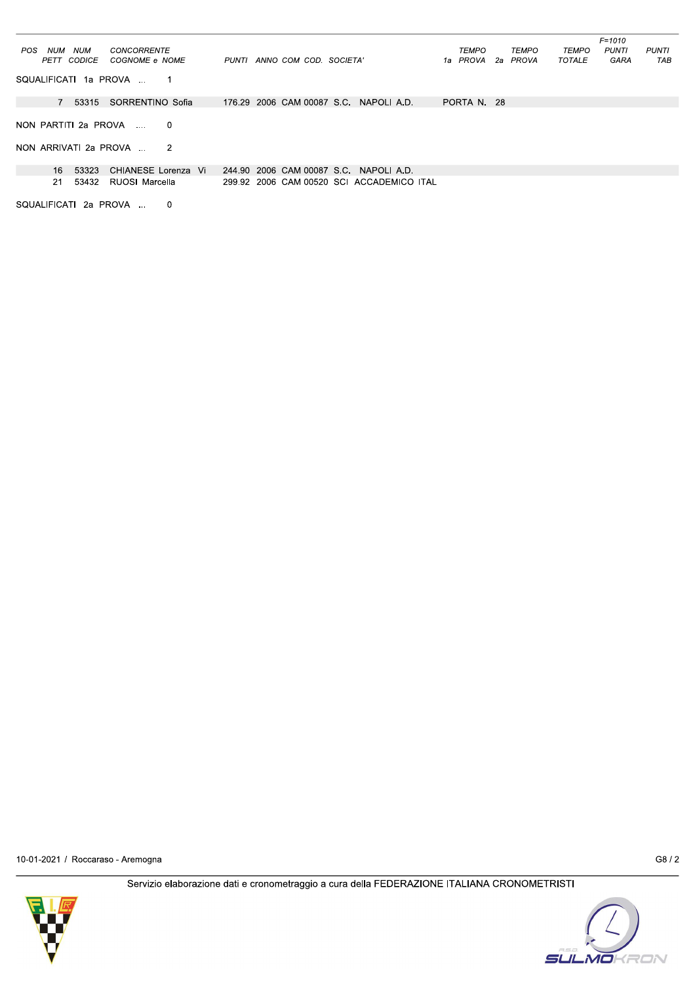|                                                  |                                           |                   | $F = 1010$                            |
|--------------------------------------------------|-------------------------------------------|-------------------|---------------------------------------|
| NUM<br>CONCORRENTE<br>NUM<br>POS                 |                                           | TEMPO<br>TEMPO    | TEMPO<br><b>PUNTI</b><br><b>PUNTI</b> |
| PETT CODICE<br>COGNOME e NOME                    | PUNTI ANNO COM COD. SOCIETA'              | 1a PROVA 2a PROVA | TOTALE<br>GARA<br>TAB                 |
| SQUALIFICATI 1a PROVA                            |                                           |                   |                                       |
| 7 53315<br>SORRENTINO Sofia                      | 176.29 2006 CAM 00087 S.C. NAPOLI A.D.    | PORTA N. 28       |                                       |
|                                                  |                                           |                   |                                       |
| NON PARTITI 2a PROVA<br>$\Omega$<br>$\mathbf{r}$ |                                           |                   |                                       |
|                                                  |                                           |                   |                                       |
| NON ARRIVATI 2a PROVA<br>-2                      |                                           |                   |                                       |
|                                                  |                                           |                   |                                       |
| CHIANESE Lorenza Vi<br>16 53323                  | 244.90 2006 CAM 00087 S.C. NAPOLIA.D.     |                   |                                       |
| 53432<br>RUOSI Marcella<br>21                    | 299.92 2006 CAM 00520 SCI ACCADEMICO ITAL |                   |                                       |
|                                                  |                                           |                   |                                       |
| SQUALIFICATI 2a PROVA<br>$\Omega$                |                                           |                   |                                       |

10-01-2021 / Roccaraso - Aremogna

 $G8/2$ 



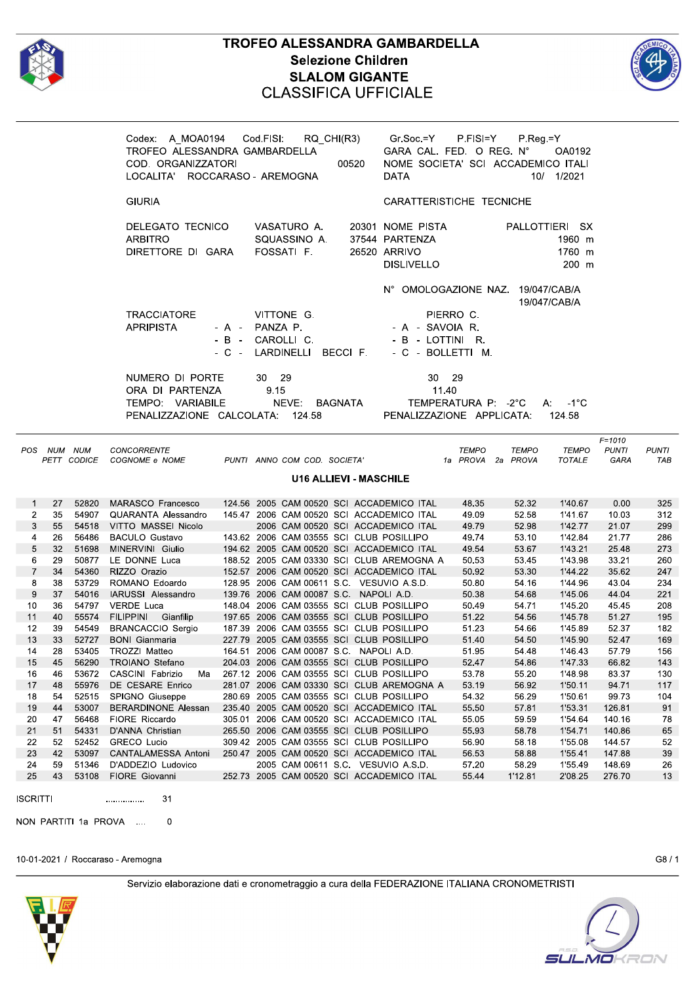

 $\overline{E}$ 

 $17$ 

18

19

 $20$ 

 $21$ 

22

23

24

25

**ISCRITTI** 

48

54

44

 $47$ 

51

52

42

59

43

NON PARTITI 1a PROVA

## **TROFEO ALESSANDRA GAMBARDELLA Selezione Children SLALOM GIGANTE CLASSIFICA UFFICIALE**



**PUNTI** 

**TAB** 

|                                |                 |                   | Codex: A_MOA0194 Cod.FISI: RQ_CHI(R3) Gr.Soc.=Y P.FISI=Y P.Reg.=Y<br>TROFEO ALESSANDRA GAMBARDELLA<br>COD. ORGANIZZATORI<br>LOCALITA' ROCCARASO - AREMOGNA |                |       |                             | 00520                         | GARA CAL. FED. O REG. N°<br>NOME SOCIETA' SCI ACCADEMICO ITALI<br><b>DATA</b>                                           |                                   |                | OA0192<br>10/ 1/2021                        |                                    |
|--------------------------------|-----------------|-------------------|------------------------------------------------------------------------------------------------------------------------------------------------------------|----------------|-------|-----------------------------|-------------------------------|-------------------------------------------------------------------------------------------------------------------------|-----------------------------------|----------------|---------------------------------------------|------------------------------------|
|                                |                 |                   | <b>GIURIA</b>                                                                                                                                              |                |       |                             |                               | CARATTERISTICHE TECNICHE                                                                                                |                                   |                |                                             |                                    |
|                                |                 |                   | DELEGATO TECNICO<br><b>ARBITRO</b><br>DIRETTORE DI GARA FOSSATI F.                                                                                         |                |       | VASATURO A.<br>SQUASSINO A. |                               | 20301 NOME PISTA<br>37544 PARTENZA<br>26520 ARRIVO<br>DISLIVELLO                                                        |                                   |                | PALLOTTIERI SX<br>1960 m<br>1760 m<br>200 m |                                    |
|                                |                 |                   | TRACCIATORE<br><b>APRIPISTA</b>                                                                                                                            | - A - PANZA P. |       | VITTONE G.                  |                               | N° OMOLOGAZIONE NAZ. 19/047/CAB/A<br>- A - SAVOIA R.<br>- B - CAROLLI C.<br>- C - LARDINELLI BECCI F. - C - BOLLETTI M. | PIERRO C.                         |                | 19/047/CAB/A                                |                                    |
|                                |                 |                   | NUMERO DI PORTE                                                                                                                                            |                | 30 29 |                             |                               | 30                                                                                                                      | 29                                |                |                                             |                                    |
|                                |                 |                   | ORA DI PARTENZA<br>TEMPO: VARIABILE<br>PENALIZZAZIONE CALCOLATA: 124.58                                                                                    |                | 9.15  |                             |                               | 11.40<br>NEVE: BAGNATA TEMPERATURA P: -2°C<br>PENALIZZAZIONE APPLICATA:                                                 |                                   |                | $A: -1^{\circ}C$<br>124.58                  |                                    |
|                                | OS NUM NUM      |                   | CONCORRENTE<br>PETT CODICE COGNOME e NOME                                                                                                                  |                |       |                             |                               | PUNTI ANNO COM COD. SOCIETA'                                                                                            | <b>TEMPO</b><br>1a PROVA 2a PROVA | <b>TEMPO</b>   | <b>TEMPO</b><br><b>TOTALE</b>               | $F = 1010$<br><b>PUNTI</b><br>GARA |
|                                |                 |                   |                                                                                                                                                            |                |       |                             | <b>U16 ALLIEVI - MASCHILE</b> |                                                                                                                         |                                   |                |                                             |                                    |
| $\mathbf{1}$<br>$\overline{2}$ | 27              | 52820<br>35 54907 | MARASCO Francesco                                                                                                                                          |                |       |                             |                               | 124.56 2005 CAM 00520 SCI ACCADEMICO ITAL                                                                               | 48.35<br>49.09                    | 52.32<br>52.58 | 1'40.67<br>1'41.67                          | 0.00<br>10.03                      |
| 3<br>$\overline{\mathbf{4}}$   | 55<br>26        | 54518<br>56486    | VITTO MASSEI Nicolo<br><b>BACULO Gustavo</b>                                                                                                               |                |       |                             |                               | 2006 CAM 00520 SCI ACCADEMICO ITAL<br>143.62 2006 CAM 03555 SCI CLUB POSILLIPO                                          | 49.79<br>49.74                    | 52.98<br>53.10 | 1'42.77<br>1'42.84                          | 21.07<br>21.77                     |
| 5                              | 32 <sup>2</sup> | 51698             | MINERVINI Giulio                                                                                                                                           |                |       |                             |                               | 194.62 2005 CAM 00520 SCI ACCADEMICO ITAL                                                                               | 49.54                             | 53.67          | 1'43.21                                     | 25 48                              |
| 6                              | 29              | 50877             | LE DONNE Luca                                                                                                                                              |                |       |                             |                               | 188.52 2005 CAM 03330 SCI CLUB AREMOGNA A                                                                               | 50.53                             | 53.45          | 1'43.98                                     | 33.21                              |
| $\overline{7}$                 | 34              | 54360             | RIZZO Orazio                                                                                                                                               |                |       |                             |                               | 152.57 2006 CAM 00520 SCI ACCADEMICO ITAL                                                                               | 50.92                             | 53.30          | 1'44.22                                     | 35.62                              |
| 8                              | 38              | 53729             |                                                                                                                                                            |                |       |                             |                               |                                                                                                                         | 50.80                             | 54.16          | 1'44.96                                     | 43.04                              |
| 9                              | 37              | 54016             |                                                                                                                                                            |                |       |                             |                               |                                                                                                                         | 50.38                             | 54.68          | 1'45.06                                     | 44.04                              |
| 10                             | 36              | 54797             | VERDE Luca                                                                                                                                                 |                |       |                             |                               | 148.04  2006  CAM  03555  SCI  CLUB  POSILLIPO                                                                          | 50.49                             | 54.71          | 1'45.20                                     | 45.45                              |
| 11                             | 40              | 55574             | FILIPPINI Gianfilip                                                                                                                                        |                |       |                             |                               | 197.65 2006 CAM 03555 SCI CLUB POSILLIPO                                                                                | 51.22                             | 54.56          | 1'45.78                                     | 51.27                              |
| 12                             | 39              | 54549             | BRANCACCIO Sergio                                                                                                                                          |                |       |                             |                               |                                                                                                                         | 51.23                             | 54.66          | 1'45.89                                     | 52.37                              |
| 13<br>14                       | 33<br>28        | 52727<br>53405    | <b>BONI</b> Gianmaria                                                                                                                                      |                |       |                             |                               | 227.79 2005 CAM 03555 SCI CLUB POSILLIPO                                                                                | 51.40<br>51.95                    | 54.50<br>54.48 | 1'45.90<br>1'46.43                          | 52.47<br>57.79                     |
| 15                             | 45              | 56290             | TROIANO Stefano                                                                                                                                            |                |       |                             |                               | 204.03 2006 CAM 03555 SCI CLUB POSILLIPO                                                                                | 52.47                             | 54.86          | 1'47.33                                     | 66.82                              |

10-01-2021 / Roccaraso - Aremogna

55976

52515

53007

56468

54331

52452

53097

51346

53108

DE CESARE Enrico

**BERARDINONE Alessan** 

CANTALAMESSA Antoni

 $31$ 

 $\Omega$ 

D'ADDEZIO Ludovico

309.42

250.47

SPIGNO Giuseppe

FIORE Riccardo

**GRECO Lucio** 

FIORE Giovanni

 $\sim$ 

. . . . . . . . . . . . . . . .

D'ANNA Christian

 $G8/1$ 

117

104

91

78

65

52

39

26

13

Servizio elaborazione dati e cronometraggio a cura della FEDERAZIONE ITALIANA CRONOMETRISTI

281.07 2006 CAM 03330 SCI CLUB AREMOGNA A

280.69 2005 CAM 03555 SCI CLUB POSILLIPO

235.40 2005 CAM 00520 SCI ACCADEMICO ITAL

305.01 2006 CAM 00520 SCI ACCADEMICO ITAL

252.73 2005 CAM 00520 SCI ACCADEMICO ITAL

2005 CAM 03555 SCI CLUB POSILLIPO

2005 CAM 00520 SCI ACCADEMICO ITAL

2005 CAM 00611 S.C. VESUVIO A.S.D.

265.50 2006 CAM 03555 SCI CLUB POSILLIPO

53.19

54.32

55.50

55.05

55.93

56.90

56.53

57.20

55.44

56.92

56.29

57.81

59.59

58.78

58.18

58.88

58.29

1'12.81

1'50.11

1'50.61

1'53.31

1'54.64

1'54.71

1'55.08

1'55.41

1'5549

2'08.25

94.71

99.73

126.81

140.16

140.86

144.57

147.88

148.69

276.70